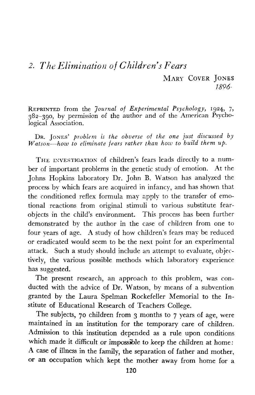# *2. The Elimination of Children's Fears* MARY COVER JONES

REPRINTED from the *Journal of Experimental Psychology,* 1924, 7, 382-390, by permission *oi* the author and of the American Psychological Association.

*1896-*

DR. JONES' *problem is the obverse of the one just discussed by Watson*—*how to eliminate fears rather than how to build them up.*

THE INVESTIGATION of children's fears leads directly to a number of important problems in the genetic study of emotion. At the Johns Hopkins laboratory Dr. John B. Watson has analyzed the process by which fears are acquired in infancy, and has shown that the conditioned reflex formula may apply to the transfer of emotional reactions from original stimuli to various substitute fearobjects in the child's environment. This process has been further demonstrated by the author in the case of children from one to four years of age. A study of how children's fears may be reduced or eradicated would seem to be the next point for an experimental attack. Such a study should include an attempt to evaluate, objectively, the various possible methods which laboratory experience has suggested.

The present research, an approach *to* this problem, was conducted with the advice of Dr. Watson, by means of a subvention granted by the Laura Spelman Rockefeller Memorial to the Institute of Educational Research of Teachers College.

The subjects, 70 children from 3 months to 7 years of age, were maintained in an institution for the temporary care of children. Admission to this institution depended as a rule upon conditions which made it difficult or impossible to keep the children at home : A case of illness in the family, the separation of father and mother, or an occupation which kept the mother away from home for a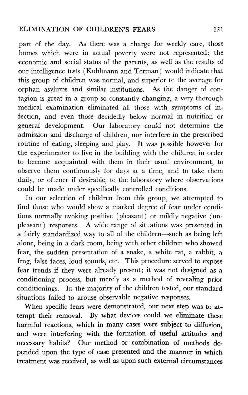part of the day. As there was a charge for weekly care, those homes which were in actual poverty were not represented; the economic and social status of the parents, as well as the results of our intelligence tests (Kuhlmann and Terman) would indicate that this group of children was normal, and superior to the average for orphan asylums and similar institutions. As the danger of contagion is great in a group so constantly changing, a very thorough medical examination eliminated all those with symptoms of infection, and even those decidedly below normal in nutrition or general development. Our laboratory could not determine the admission and discharge of children, nor interfere in the prescribed routine of eating, sleeping and play. It was possible however for the experimenter to live in the building with the children in order to become acquainted with them in their usual environment, to observe them continuously for days at a time, and to take them daily, or oftener if desirable, to the laboratory where observations could be made under specifically controlled conditions.

In our selection of children from this group, we attempted to find those who would show a marked degree of fear under conditions normally evoking positive (pleasant) or mildly negative (unpleasant) responses. A wide range of situations was presented in a fairly standardized way to all of the children—such as being left alone, being in a dark room, being with other children who showed fear, the sudden presentation of a snake, a white rat, a rabbit, a frog, false faces, loud sounds, etc. This procedure served to expose fear trends if they were already present; it was not designed as a conditioning process, but merely as a method of revealing prior conditionings. In the majority of the children tested, our standard situations failed to arouse observable negative responses.

When specific fears were demonstrated, our next step was to attempt their removal. By what devices could we eliminate these harmful reactions, which in many cases were subject to diffusion, and were interfering with the formation of useful attitudes and necessary habits? Our method or combination of methods depended upon the type of case presented and the manner in which treatment was received, as well as upon such external circumstances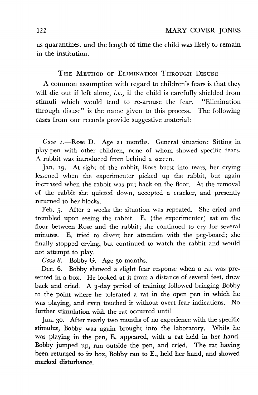as quarantines, and the length of time the child was likely to remain in the institution.

# THE METHOD OF ELIMINATION THROUGH DISUSE

A common assumption with regard to children's fears is that they will die out if left alone, *i.e.,* if the child is carefully shielded from stimuli which would tend to re-arouse the fear. "Elimination through disuse" is the name given to this process. The following cases from our records provide suggestive material:

*Case i.*—Rose D. Age 21 months. General situation: Sitting in play-pen with other children, none of whom showed specific fears. A rabbit was introduced from behind a screen.

Jan. 19. At sight of the rabbit, Rose burst into tears, her crying lessened when the experimenter picked up the rabbit, but again increased when the rabbit was put back on the floor. At the removal of the rabbit she quieted down, accepted a cracker, and presently returned to her blocks.

Feb. 5. After 2 weeks the situation was repeated. She cried and trembled upon seeing the rabbit. E. (the experimenter) sat on the floor between Rose and the rabbit; she continued to cry for several minutes. E. tried to divert her attention with the peg-board; she finally stopped crying, but continued to watch the rabbit and would not attempt to play.

*Case 8.*—Bobby G. Age 30 months.

Dec. 6. Bobby showed a slight fear response when a rat was presented in a box. He looked at it from a distance of several feet, drew back and cried. A 3-day period of training followed bringing Bobby to the point where he tolerated a rat in the open pen in which he was playing, and even touched it without overt fear indications. No further stimulation with the rat occurred until

Jan. 30. After nearly two months of no experience with the specific stimulus, Bobby was again brought into the laboratory. While he was playing in the pen, E. appeared, with a rat held in her hand. Bobby jumped up, ran outside the pen, and cried. The rat having been returned to its box, Bobby ran to E., held her hand, and showed marked disturbance.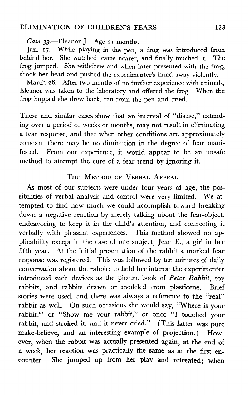*Case 33.*—Eleanor J. Age 21 months.

Jan. 17.—While playing in the pen, a frog was introduced from behind her. She watched, came nearer, and finally touched it. The frog jumped. She withdrew and when later presented with the frog, shook her head and pushed the experimenter's hand away violently.

March 26. After two months of no further experience with animals, Eleanor was taken to the laboratory and offered the frog. When the frog hopped she drew back, ran from the pen and cried.

These and similar cases show that an interval of "disuse," extending over a period of weeks or months, may not result in eliminating a fear response, and that when other conditions are approximately constant there may be no diminution in the degree of fear manifested. From our experience, it would appear to be an unsafe method to attempt the cure of a fear trend by ignoring it.

# THE METHOD OF VERBAL APPEAL

As most of our subjects were under four years of age, the possibilities of verbal analysis and control were very limited. We attempted to find how much we could accomplish toward breaking down a negative reaction by merely talking about the fear-object, endeavoring to keep it in the child's attention, and connecting it verbally with pleasant experiences. This method showed no applicability except in the case of one subject, Jean E., a girl in her fifth year. At the initial presentation of the rabbit a marked fear response was registered. This was followed by ten minutes of daily conversation about the rabbit; to hold her interest the experimenter introduced such devices as the picture book of *Peter Rabbit,* toy rabbits, and rabbits drawn or modeled from plasticene. Brief stories were used, and there was always a reference to the "real" rabbit as well. On such occasions she would say, "Where is your rabbit?" or "Show me your rabbit," or once "I touched your rabbit, and stroked it, and it never cried." (This latter was pure make-believe, and an interesting example of projection.) However, when the rabbit was actually presented again, at the end of a week, her reaction was practically the same as at the first encounter. She jumped up from her play and retreated; when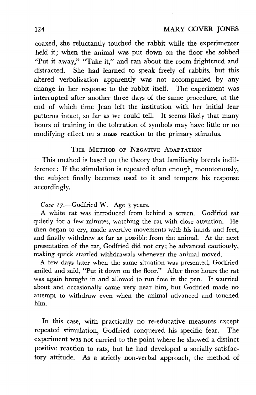coaxed, she reluctantly touched the rabbit while the experimenter held it; when the animal was put down on the floor she sobbed "Put it away," "Take it," and ran about the room frightened and distracted. She had learned to speak freely of rabbits, but this altered verbalization apparently was not accompanied by any change in her response to the rabbit itself. The experiment was interrupted after another three days of the same procedure, at the end of which time Jean left the institution with her initial fear patterns intact, so far as we could tell. It seems likely that many hours of training in the toleration of symbols may have little or no modifying effect on a mass reaction to the primary stimulus.

### THE METHOD OF NEGATIVE ADAPTATION

This method is based on the theory that familiarity breeds indifference : If the stimulation is repeated often enough, monotonously, the subject finally becomes used to it and tempers his response accordingly.

# Case 17.-Godfried W. Age 3 years.

A white rat was introduced from behind a screen. Godfried sat quietly for a few minutes, watching the rat with close attention. He then began to cry, made avertive movements with his hands and feet, and finally withdrew as far as possible from the animal. At the next presentation of the rat, Godfried did not cry; he advanced cautiously, making quick startled withdrawals whenever the animal moved.

A few days later when the same situation was presented, Godfried smiled and said, "Put it down on the floor." After three hours the rat was again brought in and allowed to run free in the pen. It scurried about and occasionally came very near him, but Godfried made no attempt to withdraw even when the animal advanced and touched him.

In this case, with practically no re-educative measures except repeated stimulation, Godfried conquered his specific fear. The experiment was not carried to the point where he showed a distinct positive reaction to rats, but he had developed a socially satisfactory attitude. As a strictly non-verbal approach, the method of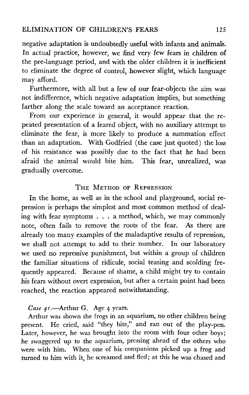negative adaptation is undoubtedly useful with infants and animals. In actual practice, however, we find very few fears in children of the pre-language period, and with the older children it is inefficient to eliminate the degree of control, however slight, which language may afford.

Furthermore, with all but a few of our fear-objects the aim was not indifference, which negative adaptation implies, but something farther along the scale toward an acceptance reaction.

From our experience in general, it would appear that the repeated presentation of a feared object, with no auxiliary attempt to eliminate the fear, is more likely to produce a summation effect than an adaptation. With Godfried (the case just quoted) the loss of his resistance was possibly due to the fact that he had been afraid the animal would bite him. This fear, unrealized, was gradually overcome.

# THE METHOD OF REPRESSION

In the home, as well as in the school and playground, social repression is perhaps the simplest and most common method of dealing with fear symptoms .. . a method, which, we may commonly note, often fails to remove the roots of the fear. As there are already too many examples of the maladaptive results of repression, we shall not attempt to add to their number. In our laboratory we used no repressive punishment, but within a group of children the familiar situations of ridicule, social teasing and scolding frequently appeared. Because of shame, a child might try to contain his fears without overt expression, but after a certain point had been reached, the reaction appeared notwithstanding.

*Case 41.*—Arthur G. Age 4 years.

Arthur was shown the frogs in an aquarium, no other children being present. He cried, said "they bite," and ran out of the play-pen. Later, however, he was brought into the room with four other boys; he swaggered up to the aquarium, pressing ahead of the others who were with him. When one of his companions picked up a frog and turned to him with it, he screamed and fled; at this he was chased and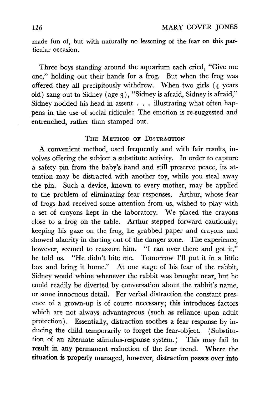made fun of, but with naturally no lessening of the fear on this particular occasion.

Three boys standing around the aquarium each cried, "Give me one," holding out their hands for a frog. But when the frog was offered they all precipitously withdrew. When two girls (4 years old) sang out to Sidney (age 3), "Sidney is afraid, Sidney is afraid," Sidney nodded his head in assent . . . illustrating what often happens in the use of social ridicule: The emotion is re-suggested and entrenched, rather than stamped out.

# THE METHOD OF DISTRACTION

A convenient method, used frequently and with fair results, involves offering the subject a substitute activity. In order to capture a safety pin from the baby's hand and still preserve peace, its attention may be distracted with another toy, while you steal away the pin. Such a device, known to every mother, may be applied to the problem of eliminating fear responses. Arthur, whose fear of frogs had received some attention from us, wished to play with a set of crayons kept in the laboratory. We placed the crayons close to a frog on the table. Arthur stepped forward cautiously; keeping his gaze on the frog, he grabbed paper and crayons and showed alacrity in darting out of the danger zone. The experience, however, seemed to reassure him. "I ran over there and got it," he told us. "He didn't bite me. Tomorrow I'll put it in a little box and bring it home." At one stage of his fear of the rabbit, Sidney would whine whenever the rabbit was brought near, but he could readily be diverted by conversation about the rabbit's name, or some innocuous detail. For verbal distraction the constant presence of a grown-up is of course necessary; this introduces factors which are not always advantageous (such as reliance upon adult protection). Essentially, distraction soothes a fear response by inducing the child temporarily to forget the fear-object. (Substitution of an alternate stimulus-response system.) This may fail to result in any permanent reduction of the fear trend. Where the situation is properly managed, however, distraction passes over into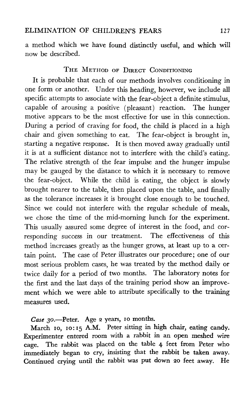a method which we have found distinctly useful, and which will now be described.

## THE METHOD OF DIRECT CONDITIONING

It is probable that each of our methods involves conditioning in one form or another. Under this heading, however, we include all specific attempts to associate with the fear-object a definite stimulus, capable of arousing a positive (pleasant) reaction. The hunger motive appears to be the most effective for use in this connection. During a period of craving for food, the child is placed in a high chair and given something to eat. The fear-object is brought in, starting a negative response. It is then moved away gradually until it is at a sufficient distance not to interfere with the child's eating. The relative strength of the fear impulse and the hunger impulse may be gauged by the distance to which it is necessary to remove the fear-object. While the child is eating, the object is slowly brought nearer to the table, then placed upon the table, and finally as the tolerance increases it is brought close enough to be touched. Since we could not interfere with the regular schedule of meals, we chose the time of the mid-morning lunch for the experiment. This usually assured some degree of interest in the food, and corresponding success in our treatment. The effectiveness of this method increases greatly as the hunger grows, at least up to a certain point. The case of Peter illustrates our procedure; one of our most serious problem cases, he was treated by the method daily or twice daily for a period of two months. The laboratory notes for the first and the last days of the training period show an improvement which we were able to attribute specifically to the training measures used.

*Case 30.*—Peter. Age 2 years, 10 months.

March 10, 10:15 A.M. Peter sitting in high chair, eating candy. Experimenter entered room with a rabbit in an open meshed wire cage. The rabbit was placed on the table 4 feet from Peter who immediately began to cry, insisting that the rabbit be taken away. Continued crying until the rabbit was put down 20 feet away. He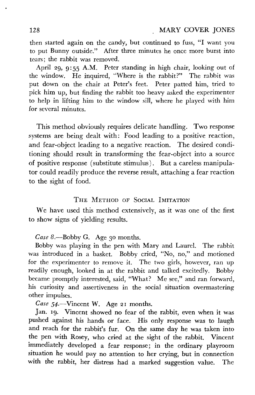then started again on the candy, but continued to fuss, "I want you to put Bunny outside." After three minutes he once more burst into tears; the rabbit was removed.

April 29, 9:55 A.M. Peter standing in high chair, looking out of the window. He inquired, "Where is the rabbit?" The rabbit was put down on the chair at Peter's feet. Peter patted him, tried to pick him up, but finding the rabbit too heavy asked the experimenter to help in lifting him to the window sill, where he played with him for several minutes.

This method obviously requires delicate handling. Two response systems are being dealt with: Food leading to a positive reaction, and fear-object leading to a negative reaction. The desired conditioning should result in transforming the fear-object into a source of positive response (substitute stimulus). But a careless manipulator could readily produce the reverse result, attaching a fear reaction to the sight of food.

#### THE METHOD OF SOCIAL IMITATION

We have used this method extensively, as it was one of the first to show signs of yielding results.

*Case 8.*—Bobby G. Age 30 months.

Bobby was playing in the pen with Mary and Laurel. The rabbit was introduced in a basket. Bobby cried, "No, no," and motioned for the experimenter to remove it. The two girls, however, ran up readily enough, looked in at the rabbit and talked excitedly. Bobby became promptly interested, said, "What? Me see," and ran forward, his curiosity and assertiveness in the social situation overmastering other impulses.

*Case 54.*—Vincent W. Age 21 months.

Jan. 19. Vincent showed no fear of the rabbit, even when it was pushed against his hands or face. His only response was to laugh and reach for the rabbit's fur. On the same day he was taken into the pen with Rosey, who cried at the sight of the rabbit. Vincent immediately developed a fear response; in the ordinary playroom situation he would pay no attention to her crying, but in connection with the rabbit, her distress had a marked suggestion value. The